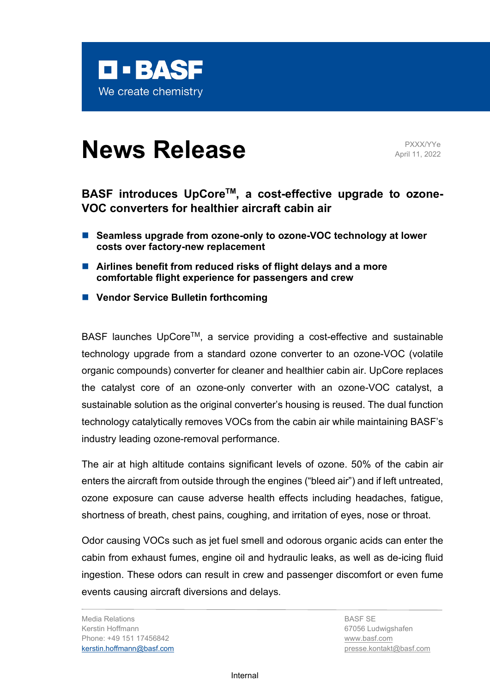

# **News Release** PXXX/YYe

April 11, 2022

# BASF introduces UpCore<sup>™</sup>, a cost-effective upgrade to ozone-**VOC converters for healthier aircraft cabin air**

- Seamless upgrade from ozone-only to ozone-VOC technology at lower **costs over factory-new replacement**
- Airlines benefit from reduced risks of flight delays and a more **comfortable flight experience for passengers and crew**
- **Vendor Service Bulletin forthcoming**

BASF launches UpCore<sup>™</sup>, a service providing a cost-effective and sustainable technology upgrade from a standard ozone converter to an ozone-VOC (volatile organic compounds) converter for cleaner and healthier cabin air. UpCore replaces the catalyst core of an ozone-only converter with an ozone-VOC catalyst, a sustainable solution as the original converter's housing is reused. The dual function technology catalytically removes VOCs from the cabin air while maintaining BASF's industry leading ozone-removal performance.

The air at high altitude contains significant levels of ozone. 50% of the cabin air enters the aircraft from outside through the engines ("bleed air") and if left untreated, ozone exposure can cause adverse health effects including headaches, fatigue, shortness of breath, chest pains, coughing, and irritation of eyes, nose or throat.

Odor causing VOCs such as jet fuel smell and odorous organic acids can enter the cabin from exhaust fumes, engine oil and hydraulic leaks, as well as de-icing fluid ingestion. These odors can result in crew and passenger discomfort or even fume events causing aircraft diversions and delays.

Media Relations Kerstin Hoffmann Phone: +49 151 17456842 [kerstin.hoffmann@basf.com](mailto:Kerstin.Hoffmann@basf.com)

BASF SE 67056 Ludwigshafen [www.basf.com](http://www.basf.com/) presse.kontakt@basf.com